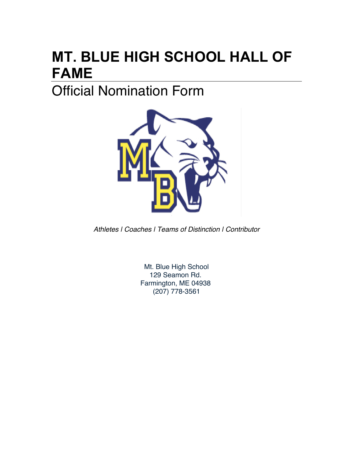# **MT. BLUE HIGH SCHOOL HALL OF FAME**

## Official Nomination Form



*Athletes | Coaches | Teams of Distinction | Contributor*

Mt. Blue High School 129 Seamon Rd. Farmington, ME 04938 (207) 778-3561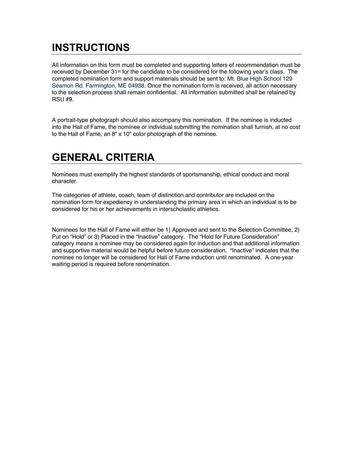#### **INSTRUCTIONS**

All information on this form must be completed and supporting letters of recommendation must be received by December 31<sup>st</sup> for the candidate to be considered for the following year's class. The completed nomination form and support materials should be sent to: Mt. Blue High School 129 Seamon Rd. Farmington, ME 04938. Once the nomination form is received, all action necessary to the selection process shall remain confidential. All information submitted shall be retained by RSU #9.

A portrait-type photograph should also accompany this nomination. If the nominee is inducted into the Hall of Fame, the nominee or individual submitting the nomination shall furnish, at no cost to the Hall of Fame, an 8" x 10" color photograph of the nominee.

#### **GENERAL CRITERIA**

Nominees must exemplify the highest standards of sportsmanship, ethical conduct and moral character.

The categories of athlete, coach, team of distinction and contributor are included on the nomination form for expediency in understanding the primary area in which an individual is to be considered for his or her achievements in interscholastic athletics.

Nominees for the Hall of Fame will either be 1) Approved and sent to the Selection Committee, 2) Put on "Hold" or 3) Placed in the "Inactive" category. The "Hold for Future Consideration" category means a nominee may be considered again for induction and that additional information and supportive material would be helpful before future consideration. "Inactive" indicates that the nominee no longer will be considered for Hall of Fame induction until renominated. A one-year waiting period is required before renomination.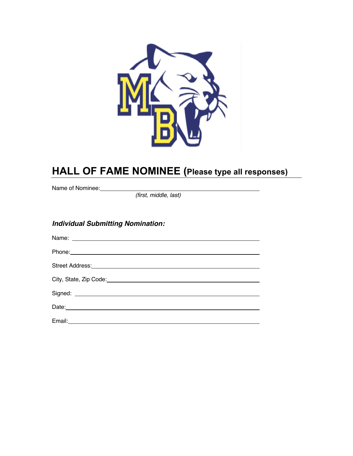

#### **HALL OF FAME NOMINEE (Please type all responses)**

Name of Nominee:

*(first, middle, last)*

#### *Individual Submitting Nomination:*

| Phone: 2008 Contract and Contract and Contract and Contract and Contract and Contract and Contract and Contract and Contract and Contract and Contract and Contract and Contract and Contract and Contract and Contract and Co       |
|--------------------------------------------------------------------------------------------------------------------------------------------------------------------------------------------------------------------------------------|
| Street Address: <u>www.community.com and a street street and a street street and a street street and a street street street and a street street street and a street street street and a street street street street street stree</u> |
|                                                                                                                                                                                                                                      |
|                                                                                                                                                                                                                                      |
|                                                                                                                                                                                                                                      |
|                                                                                                                                                                                                                                      |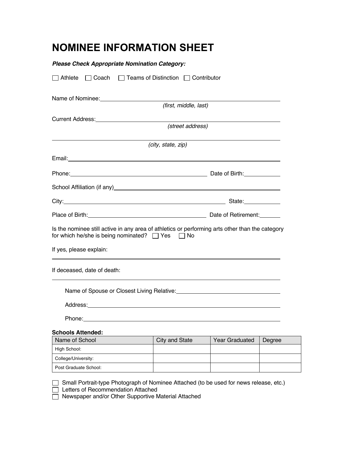#### **NOMINEE INFORMATION SHEET**

| <b>Please Check Appropriate Nomination Category:</b>                                                                                                                                                                                 |                                                                                                                                                                                                                                |                                                                                                                                                                                                                                |        |  |
|--------------------------------------------------------------------------------------------------------------------------------------------------------------------------------------------------------------------------------------|--------------------------------------------------------------------------------------------------------------------------------------------------------------------------------------------------------------------------------|--------------------------------------------------------------------------------------------------------------------------------------------------------------------------------------------------------------------------------|--------|--|
| $\Box$ Athlete                                                                                                                                                                                                                       | □ Coach □ Teams of Distinction □ Contributor                                                                                                                                                                                   |                                                                                                                                                                                                                                |        |  |
| Name of Nominee:<br><u> Name</u> of Nominee:                                                                                                                                                                                         |                                                                                                                                                                                                                                |                                                                                                                                                                                                                                |        |  |
|                                                                                                                                                                                                                                      | (first, middle, last)                                                                                                                                                                                                          |                                                                                                                                                                                                                                |        |  |
|                                                                                                                                                                                                                                      |                                                                                                                                                                                                                                |                                                                                                                                                                                                                                |        |  |
|                                                                                                                                                                                                                                      | (street address)                                                                                                                                                                                                               |                                                                                                                                                                                                                                |        |  |
|                                                                                                                                                                                                                                      | (city, state, zip)                                                                                                                                                                                                             |                                                                                                                                                                                                                                |        |  |
| Email: <u>Andreas Andreas Andreas Andreas Andreas Andreas Andreas Andreas Andreas Andreas Andreas Andreas Andreas Andreas Andreas Andreas Andreas Andreas Andreas Andreas Andreas Andreas Andreas Andreas Andreas Andreas Andrea</u> |                                                                                                                                                                                                                                |                                                                                                                                                                                                                                |        |  |
|                                                                                                                                                                                                                                      |                                                                                                                                                                                                                                |                                                                                                                                                                                                                                |        |  |
|                                                                                                                                                                                                                                      |                                                                                                                                                                                                                                |                                                                                                                                                                                                                                |        |  |
|                                                                                                                                                                                                                                      |                                                                                                                                                                                                                                |                                                                                                                                                                                                                                |        |  |
|                                                                                                                                                                                                                                      |                                                                                                                                                                                                                                | Place of Birth: Cambridge Contract Contract Contract Contract Contract Contract Contract Contract Contract Contract Contract Contract Contract Contract Contract Contract Contract Contract Contract Contract Contract Contrac |        |  |
| Is the nominee still active in any area of athletics or performing arts other than the category<br>for which he/she is being nominated? □ Yes □ No                                                                                   |                                                                                                                                                                                                                                |                                                                                                                                                                                                                                |        |  |
| If yes, please explain:                                                                                                                                                                                                              |                                                                                                                                                                                                                                |                                                                                                                                                                                                                                |        |  |
| If deceased, date of death:                                                                                                                                                                                                          |                                                                                                                                                                                                                                |                                                                                                                                                                                                                                |        |  |
|                                                                                                                                                                                                                                      |                                                                                                                                                                                                                                |                                                                                                                                                                                                                                |        |  |
|                                                                                                                                                                                                                                      |                                                                                                                                                                                                                                |                                                                                                                                                                                                                                |        |  |
|                                                                                                                                                                                                                                      | Phone: Phone and the second contract of the second contract of the second contract of the second contract of the second contract of the second contract of the second contract of the second contract of the second contract o |                                                                                                                                                                                                                                |        |  |
| <b>Schools Attended:</b>                                                                                                                                                                                                             |                                                                                                                                                                                                                                |                                                                                                                                                                                                                                |        |  |
| Name of School                                                                                                                                                                                                                       | City and State                                                                                                                                                                                                                 | Year Graduated                                                                                                                                                                                                                 | Degree |  |
| High School:                                                                                                                                                                                                                         |                                                                                                                                                                                                                                |                                                                                                                                                                                                                                |        |  |
| College/University:                                                                                                                                                                                                                  |                                                                                                                                                                                                                                |                                                                                                                                                                                                                                |        |  |

Small Portrait-type Photograph of Nominee Attached (to be used for news release, etc.)

Letters of Recommendation Attached

Post Graduate School:

Newspaper and/or Other Supportive Material Attached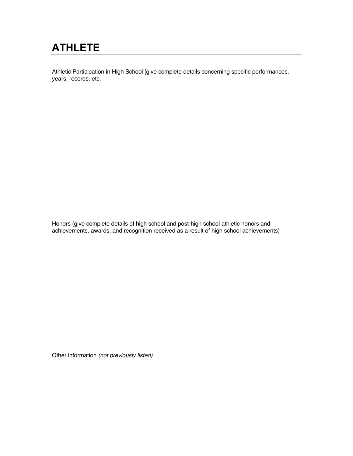### **ATHLETE**

Athletic Participation in High School [give complete details concerning specific performances, years, records, etc.

Honors (give complete details of high school and post-high school athletic honors and achievements, awards, and recognition received as a result of high school achievements)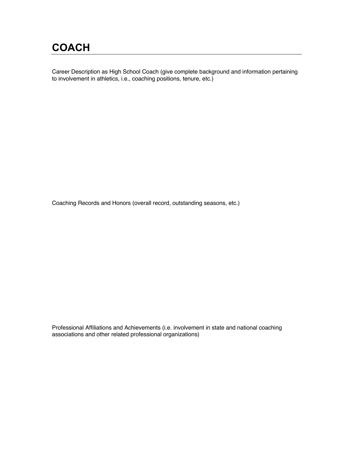#### **COACH**

Career Description as High School Coach (give complete background and information pertaining to involvement in athletics, i.e., coaching positions, tenure, etc.)

Coaching Records and Honors (overall record, outstanding seasons, etc.)

Professional Affiliations and Achievements (i.e. involvement in state and national coaching associations and other related professional organizations)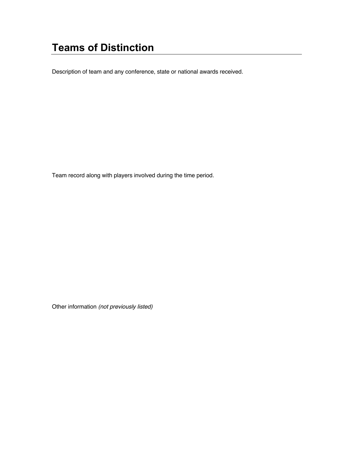#### **Teams of Distinction**

Description of team and any conference, state or national awards received.

Team record along with players involved during the time period.